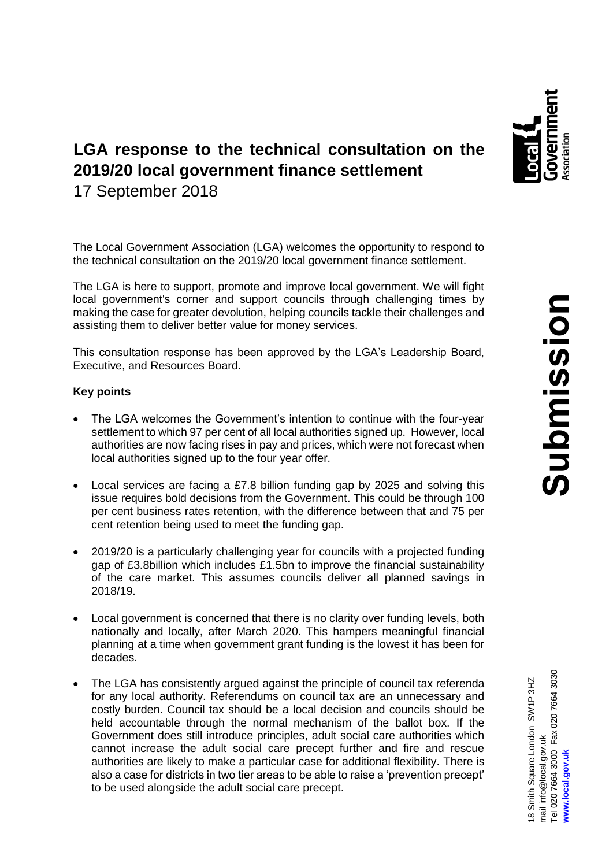

# **LGA response to the technical consultation on the 2019/20 local government finance settlement** 17 September 2018

The Local Government Association (LGA) welcomes the opportunity to respond to the technical consultation on the 2019/20 local government finance settlement.

The LGA is here to support, promote and improve local government. We will fight local government's corner and support councils through challenging times by making the case for greater devolution, helping councils tackle their challenges and assisting them to deliver better value for money services.

This consultation response has been approved by the LGA's Leadership Board, Executive, and Resources Board.

# **Key points**

- The LGA welcomes the Government's intention to continue with the four-year settlement to which 97 per cent of all local authorities signed up. However, local authorities are now facing rises in pay and prices, which were not forecast when local authorities signed up to the four year offer.
- Local services are facing a £7.8 billion funding gap by 2025 and solving this issue requires bold decisions from the Government. This could be through 100 per cent business rates retention, with the difference between that and 75 per cent retention being used to meet the funding gap.
- 2019/20 is a particularly challenging year for councils with a projected funding gap of £3.8billion which includes £1.5bn to improve the financial sustainability of the care market. This assumes councils deliver all planned savings in 2018/19.
- Local government is concerned that there is no clarity over funding levels, both nationally and locally, after March 2020. This hampers meaningful financial planning at a time when government grant funding is the lowest it has been for decades.
- The LGA has consistently argued against the principle of council tax referenda for any local authority. Referendums on council tax are an unnecessary and costly burden. Council tax should be a local decision and councils should be held accountable through the normal mechanism of the ballot box. If the Government does still introduce principles, adult social care authorities which cannot increase the adult social care precept further and fire and rescue authorities are likely to make a particular case for additional flexibility. There is also a case for districts in two tier areas to be able to raise a 'prevention precept' to be used alongside the adult social care precept.

18 Smith Square London SW1P 3HZ<br>mail info@local.gov.uk<br>Tel 020 7664 3000 Fax 020 7664 3030 Tel 020 7664 3000 Fax 020 7664 3030 18 Smith Square London SW1P 3HZ mail info@local.gov.uk **[www.local.gov.uk](http://www.local.gov.uk/)** www.local.gov.uk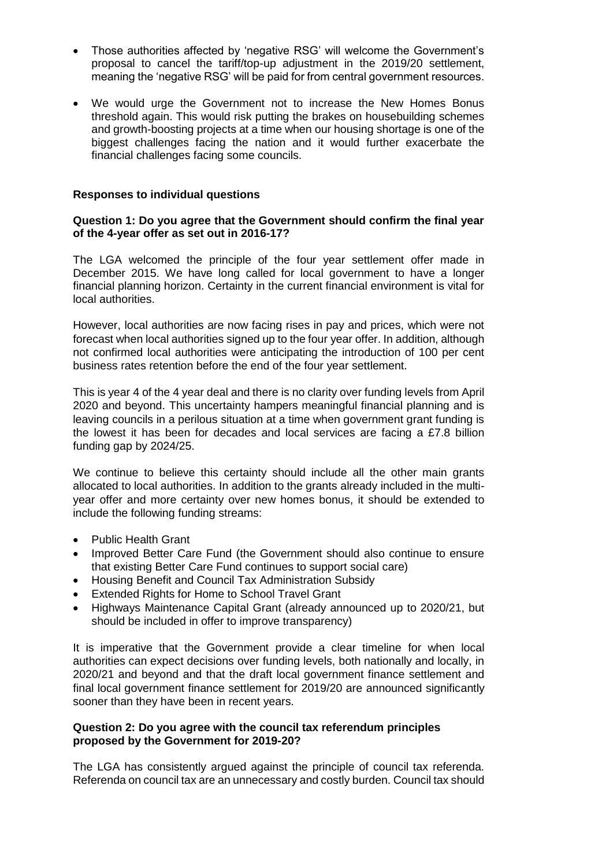- Those authorities affected by 'negative RSG' will welcome the Government's proposal to cancel the tariff/top-up adjustment in the 2019/20 settlement, meaning the 'negative RSG' will be paid for from central government resources.
- We would urge the Government not to increase the New Homes Bonus threshold again. This would risk putting the brakes on housebuilding schemes and growth-boosting projects at a time when our housing shortage is one of the biggest challenges facing the nation and it would further exacerbate the financial challenges facing some councils.

# **Responses to individual questions**

# **Question 1: Do you agree that the Government should confirm the final year of the 4-year offer as set out in 2016-17?**

The LGA welcomed the principle of the four year settlement offer made in December 2015. We have long called for local government to have a longer financial planning horizon. Certainty in the current financial environment is vital for local authorities.

However, local authorities are now facing rises in pay and prices, which were not forecast when local authorities signed up to the four year offer. In addition, although not confirmed local authorities were anticipating the introduction of 100 per cent business rates retention before the end of the four year settlement.

This is year 4 of the 4 year deal and there is no clarity over funding levels from April 2020 and beyond. This uncertainty hampers meaningful financial planning and is leaving councils in a perilous situation at a time when government grant funding is the lowest it has been for decades and local services are facing a £7.8 billion funding gap by 2024/25.

We continue to believe this certainty should include all the other main grants allocated to local authorities. In addition to the grants already included in the multiyear offer and more certainty over new homes bonus, it should be extended to include the following funding streams:

- Public Health Grant
- Improved Better Care Fund (the Government should also continue to ensure that existing Better Care Fund continues to support social care)
- Housing Benefit and Council Tax Administration Subsidy
- Extended Rights for Home to School Travel Grant
- Highways Maintenance Capital Grant (already announced up to 2020/21, but should be included in offer to improve transparency)

It is imperative that the Government provide a clear timeline for when local authorities can expect decisions over funding levels, both nationally and locally, in 2020/21 and beyond and that the draft local government finance settlement and final local government finance settlement for 2019/20 are announced significantly sooner than they have been in recent years.

# **Question 2: Do you agree with the council tax referendum principles proposed by the Government for 2019-20?**

The LGA has consistently argued against the principle of council tax referenda. Referenda on council tax are an unnecessary and costly burden. Council tax should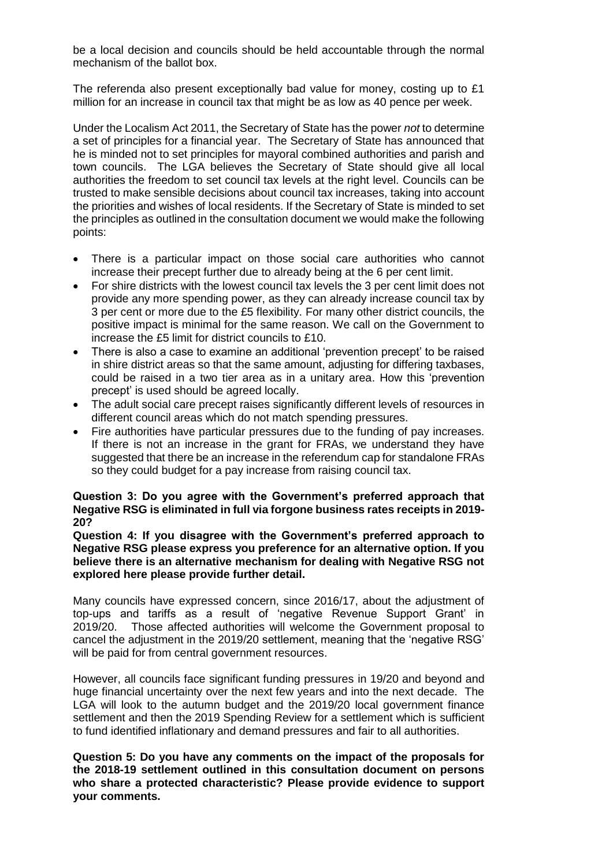be a local decision and councils should be held accountable through the normal mechanism of the ballot box.

The referenda also present exceptionally bad value for money, costing up to £1 million for an increase in council tax that might be as low as 40 pence per week.

Under the Localism Act 2011, the Secretary of State has the power *not* to determine a set of principles for a financial year. The Secretary of State has announced that he is minded not to set principles for mayoral combined authorities and parish and town councils. The LGA believes the Secretary of State should give all local authorities the freedom to set council tax levels at the right level. Councils can be trusted to make sensible decisions about council tax increases, taking into account the priorities and wishes of local residents. If the Secretary of State is minded to set the principles as outlined in the consultation document we would make the following points:

- There is a particular impact on those social care authorities who cannot increase their precept further due to already being at the 6 per cent limit.
- For shire districts with the lowest council tax levels the 3 per cent limit does not provide any more spending power, as they can already increase council tax by 3 per cent or more due to the £5 flexibility. For many other district councils, the positive impact is minimal for the same reason. We call on the Government to increase the £5 limit for district councils to £10.
- There is also a case to examine an additional 'prevention precept' to be raised in shire district areas so that the same amount, adjusting for differing taxbases, could be raised in a two tier area as in a unitary area. How this 'prevention precept' is used should be agreed locally.
- The adult social care precept raises significantly different levels of resources in different council areas which do not match spending pressures.
- Fire authorities have particular pressures due to the funding of pay increases. If there is not an increase in the grant for FRAs, we understand they have suggested that there be an increase in the referendum cap for standalone FRAs so they could budget for a pay increase from raising council tax.

### **Question 3: Do you agree with the Government's preferred approach that Negative RSG is eliminated in full via forgone business rates receipts in 2019- 20?**

**Question 4: If you disagree with the Government's preferred approach to Negative RSG please express you preference for an alternative option. If you believe there is an alternative mechanism for dealing with Negative RSG not explored here please provide further detail.**

Many councils have expressed concern, since 2016/17, about the adjustment of top-ups and tariffs as a result of 'negative Revenue Support Grant' in 2019/20. Those affected authorities will welcome the Government proposal to cancel the adjustment in the 2019/20 settlement, meaning that the 'negative RSG' will be paid for from central government resources.

However, all councils face significant funding pressures in 19/20 and beyond and huge financial uncertainty over the next few years and into the next decade. The LGA will look to the autumn budget and the 2019/20 local government finance settlement and then the 2019 Spending Review for a settlement which is sufficient to fund identified inflationary and demand pressures and fair to all authorities.

**Question 5: Do you have any comments on the impact of the proposals for the 2018-19 settlement outlined in this consultation document on persons who share a protected characteristic? Please provide evidence to support your comments.**